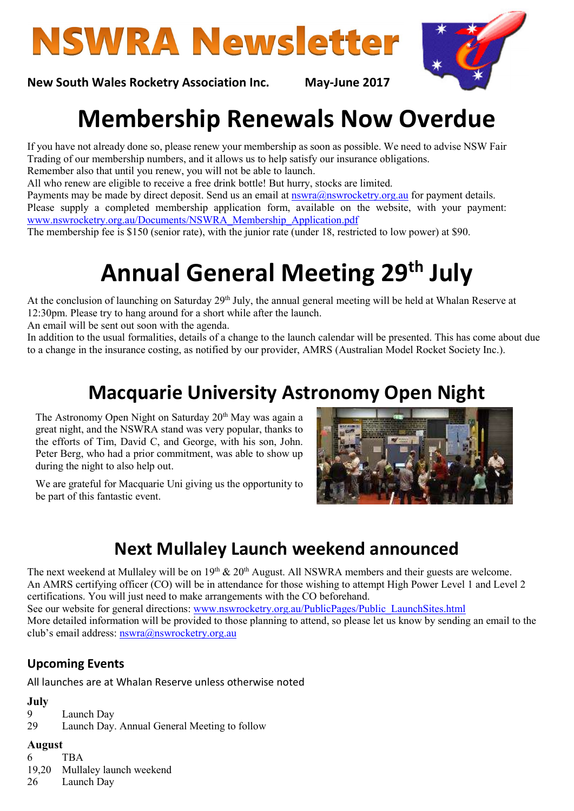# **NSWRA Newsletter**



New South Wales Rocketry Association Inc. May-June 2017

## Membership Renewals Now Overdue

If you have not already done so, please renew your membership as soon as possible. We need to advise NSW Fair Trading of our membership numbers, and it allows us to help satisfy our insurance obligations.

Remember also that until you renew, you will not be able to launch.

All who renew are eligible to receive a free drink bottle! But hurry, stocks are limited.

Payments may be made by direct deposit. Send us an email at  $nswra@nswrocketry.org.au$  for payment details. Please supply a completed membership application form, available on the website, with your payment:

www.nswrocketry.org.au/Documents/NSWRA\_Membership\_Application.pdf

The membership fee is \$150 (senior rate), with the junior rate (under 18, restricted to low power) at \$90.

# Annual General Meeting 29<sup>th</sup> July

At the conclusion of launching on Saturday 29<sup>th</sup> July, the annual general meeting will be held at Whalan Reserve at 12:30pm. Please try to hang around for a short while after the launch.

An email will be sent out soon with the agenda.

In addition to the usual formalities, details of a change to the launch calendar will be presented. This has come about due to a change in the insurance costing, as notified by our provider, AMRS (Australian Model Rocket Society Inc.).

### Macquarie University Astronomy Open Night

The Astronomy Open Night on Saturday  $20<sup>th</sup>$  May was again a great night, and the NSWRA stand was very popular, thanks to the efforts of Tim, David C, and George, with his son, John. Peter Berg, who had a prior commitment, was able to show up during the night to also help out.

We are grateful for Macquarie Uni giving us the opportunity to be part of this fantastic event.



### Next Mullaley Launch weekend announced

The next weekend at Mullaley will be on  $19<sup>th</sup>$  &  $20<sup>th</sup>$  August. All NSWRA members and their guests are welcome. An AMRS certifying officer (CO) will be in attendance for those wishing to attempt High Power Level 1 and Level 2 certifications. You will just need to make arrangements with the CO beforehand. See our website for general directions: www.nswrocketry.org.au/PublicPages/Public\_LaunchSites.html More detailed information will be provided to those planning to attend, so please let us know by sending an email to the club's email address: nswra@nswrocketry.org.au

#### Upcoming Events

All launches are at Whalan Reserve unless otherwise noted

#### July

9 Launch Day

29 Launch Day. Annual General Meeting to follow

#### August

6 TBA 19,20 Mullaley launch weekend

26 Launch Day